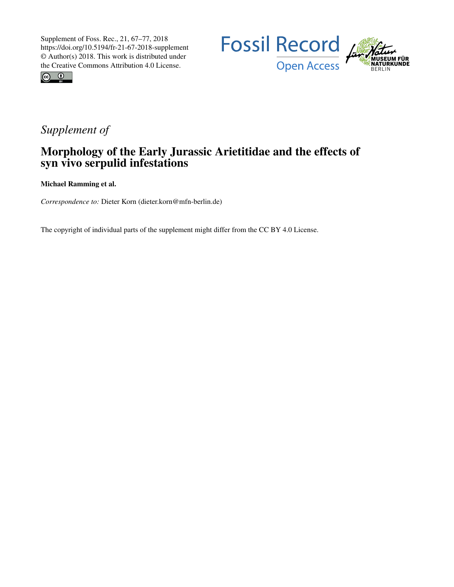



## *Supplement of*

## Morphology of the Early Jurassic Arietitidae and the effects of syn vivo serpulid infestations

Michael Ramming et al.

*Correspondence to:* Dieter Korn (dieter.korn@mfn-berlin.de)

The copyright of individual parts of the supplement might differ from the CC BY 4.0 License.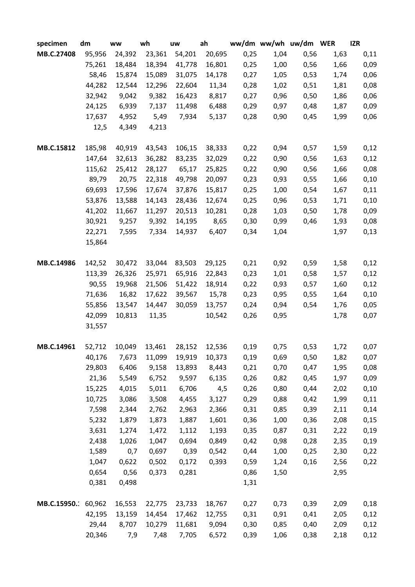| specimen    | dm     | ww     | wh     | uw     | ah     |      |      | ww/dm ww/wh uw/dm WER |      | <b>IZR</b> |
|-------------|--------|--------|--------|--------|--------|------|------|-----------------------|------|------------|
| MB.C.27408  | 95,956 | 24,392 | 23,361 | 54,201 | 20,695 | 0,25 | 1,04 | 0,56                  | 1,63 | 0,11       |
|             | 75,261 | 18,484 | 18,394 | 41,778 | 16,801 | 0,25 | 1,00 | 0,56                  | 1,66 | 0,09       |
|             | 58,46  | 15,874 | 15,089 | 31,075 | 14,178 | 0,27 | 1,05 | 0,53                  | 1,74 | 0,06       |
|             | 44,282 | 12,544 | 12,296 | 22,604 | 11,34  | 0,28 | 1,02 | 0,51                  | 1,81 | 0,08       |
|             | 32,942 | 9,042  | 9,382  | 16,423 | 8,817  | 0,27 | 0,96 | 0,50                  | 1,86 | 0,06       |
|             | 24,125 | 6,939  | 7,137  | 11,498 | 6,488  | 0,29 | 0,97 | 0,48                  | 1,87 | 0,09       |
|             | 17,637 | 4,952  | 5,49   | 7,934  | 5,137  | 0,28 | 0,90 | 0,45                  | 1,99 | 0,06       |
|             | 12,5   | 4,349  | 4,213  |        |        |      |      |                       |      |            |
|             |        |        |        |        |        |      |      |                       |      |            |
| MB.C.15812  | 185,98 | 40,919 | 43,543 | 106,15 | 38,333 | 0,22 | 0,94 | 0,57                  | 1,59 | 0,12       |
|             | 147,64 | 32,613 | 36,282 | 83,235 | 32,029 | 0,22 | 0,90 | 0,56                  | 1,63 | 0,12       |
|             | 115,62 | 25,412 | 28,127 | 65,17  | 25,825 | 0,22 | 0,90 | 0,56                  | 1,66 | 0,08       |
|             | 89,79  | 20,75  | 22,318 | 49,798 | 20,097 | 0,23 | 0,93 | 0,55                  | 1,66 | 0,10       |
|             | 69,693 | 17,596 | 17,674 | 37,876 | 15,817 | 0,25 | 1,00 | 0,54                  | 1,67 | 0,11       |
|             | 53,876 | 13,588 | 14,143 | 28,436 | 12,674 | 0,25 | 0,96 | 0,53                  | 1,71 | 0,10       |
|             | 41,202 | 11,667 | 11,297 | 20,513 | 10,281 | 0,28 | 1,03 | 0,50                  | 1,78 | 0,09       |
|             | 30,921 | 9,257  | 9,392  | 14,195 | 8,65   | 0,30 | 0,99 | 0,46                  | 1,93 | 0,08       |
|             | 22,271 | 7,595  | 7,334  | 14,937 | 6,407  | 0,34 | 1,04 |                       | 1,97 | 0,13       |
|             | 15,864 |        |        |        |        |      |      |                       |      |            |
|             |        |        |        |        |        |      |      |                       |      |            |
| MB.C.14986  | 142,52 | 30,472 | 33,044 | 83,503 | 29,125 | 0,21 | 0,92 | 0,59                  | 1,58 | 0,12       |
|             | 113,39 | 26,326 | 25,971 | 65,916 | 22,843 | 0,23 | 1,01 | 0,58                  | 1,57 | 0,12       |
|             | 90,55  | 19,968 | 21,506 | 51,422 | 18,914 | 0,22 | 0,93 | 0,57                  | 1,60 | 0,12       |
|             | 71,636 | 16,82  | 17,622 | 39,567 | 15,78  | 0,23 | 0,95 | 0,55                  | 1,64 | 0,10       |
|             | 55,856 | 13,547 | 14,447 | 30,059 | 13,757 | 0,24 | 0,94 | 0,54                  | 1,76 | 0,05       |
|             | 42,099 | 10,813 | 11,35  |        | 10,542 | 0,26 | 0,95 |                       | 1,78 | 0,07       |
|             | 31,557 |        |        |        |        |      |      |                       |      |            |
| MB.C.14961  | 52,712 | 10,049 | 13,461 | 28,152 | 12,536 | 0,19 | 0,75 | 0,53                  | 1,72 | 0,07       |
|             | 40,176 | 7,673  | 11,099 | 19,919 | 10,373 | 0,19 | 0,69 | 0,50                  | 1,82 | 0,07       |
|             | 29,803 | 6,406  | 9,158  | 13,893 | 8,443  | 0,21 | 0,70 | 0,47                  | 1,95 | 0,08       |
|             | 21,36  | 5,549  | 6,752  | 9,597  | 6,135  | 0,26 | 0,82 | 0,45                  | 1,97 | 0,09       |
|             | 15,225 | 4,015  | 5,011  | 6,706  | 4,5    | 0,26 | 0,80 | 0,44                  | 2,02 | 0,10       |
|             | 10,725 | 3,086  | 3,508  | 4,455  | 3,127  | 0,29 | 0,88 | 0,42                  | 1,99 | 0,11       |
|             | 7,598  | 2,344  | 2,762  | 2,963  | 2,366  | 0,31 | 0,85 | 0,39                  | 2,11 | 0,14       |
|             | 5,232  | 1,879  | 1,873  | 1,887  | 1,601  | 0,36 | 1,00 | 0,36                  | 2,08 | 0,15       |
|             | 3,631  | 1,274  | 1,472  | 1,112  | 1,193  | 0,35 | 0,87 | 0,31                  | 2,22 | 0,19       |
|             | 2,438  | 1,026  | 1,047  | 0,694  | 0,849  | 0,42 | 0,98 | 0,28                  | 2,35 | 0,19       |
|             | 1,589  | 0,7    | 0,697  | 0,39   | 0,542  | 0,44 | 1,00 | 0,25                  | 2,30 | 0,22       |
|             | 1,047  | 0,622  | 0,502  | 0,172  | 0,393  | 0,59 | 1,24 | 0,16                  | 2,56 | 0,22       |
|             | 0,654  | 0,56   | 0,373  | 0,281  |        | 0,86 | 1,50 |                       | 2,95 |            |
|             | 0,381  | 0,498  |        |        |        | 1,31 |      |                       |      |            |
|             |        |        |        |        |        |      |      |                       |      |            |
| MB.C.15950. | 60,962 | 16,553 | 22,775 | 23,733 | 18,767 | 0,27 | 0,73 | 0,39                  | 2,09 | 0,18       |
|             | 42,195 | 13,159 | 14,454 | 17,462 | 12,755 | 0,31 | 0,91 | 0,41                  | 2,05 | 0,12       |
|             | 29,44  | 8,707  | 10,279 | 11,681 | 9,094  | 0,30 | 0,85 | 0,40                  | 2,09 | 0,12       |
|             | 20,346 | 7,9    | 7,48   | 7,705  | 6,572  | 0,39 | 1,06 | 0,38                  | 2,18 | 0,12       |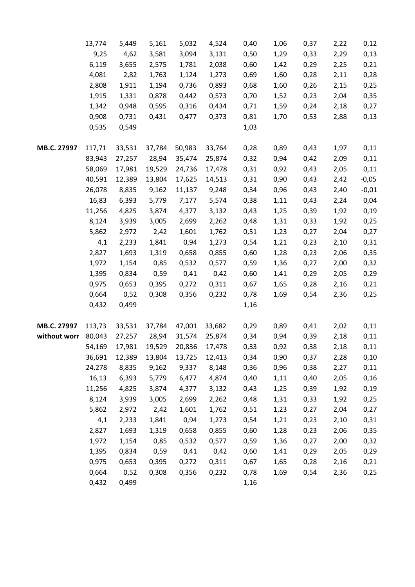|              | 13,774 | 5,449  | 5,161  | 5,032  | 4,524  | 0,40 | 1,06 | 0,37 | 2,22 | 0,12    |
|--------------|--------|--------|--------|--------|--------|------|------|------|------|---------|
|              | 9,25   | 4,62   | 3,581  | 3,094  | 3,131  | 0,50 | 1,29 | 0,33 | 2,29 | 0,13    |
|              | 6,119  | 3,655  | 2,575  | 1,781  | 2,038  | 0,60 | 1,42 | 0,29 | 2,25 | 0,21    |
|              | 4,081  | 2,82   | 1,763  | 1,124  | 1,273  | 0,69 | 1,60 | 0,28 | 2,11 | 0,28    |
|              | 2,808  | 1,911  | 1,194  | 0,736  | 0,893  | 0,68 | 1,60 | 0,26 | 2,15 | 0,25    |
|              | 1,915  | 1,331  | 0,878  | 0,442  | 0,573  | 0,70 | 1,52 | 0,23 | 2,04 | 0,35    |
|              | 1,342  | 0,948  | 0,595  | 0,316  | 0,434  | 0,71 | 1,59 | 0,24 | 2,18 | 0,27    |
|              | 0,908  | 0,731  | 0,431  | 0,477  | 0,373  | 0,81 | 1,70 | 0,53 | 2,88 | 0,13    |
|              | 0,535  | 0,549  |        |        |        | 1,03 |      |      |      |         |
|              |        |        |        |        |        |      |      |      |      |         |
| MB.C. 27997  | 117,71 | 33,531 | 37,784 | 50,983 | 33,764 | 0,28 | 0,89 | 0,43 | 1,97 | 0,11    |
|              | 83,943 | 27,257 | 28,94  | 35,474 | 25,874 | 0,32 | 0,94 | 0,42 | 2,09 | 0,11    |
|              | 58,069 | 17,981 | 19,529 | 24,736 | 17,478 | 0,31 | 0,92 | 0,43 | 2,05 | 0,11    |
|              | 40,591 | 12,389 | 13,804 | 17,625 | 14,513 | 0,31 | 0,90 | 0,43 | 2,42 | $-0,05$ |
|              | 26,078 | 8,835  | 9,162  | 11,137 | 9,248  | 0,34 | 0,96 | 0,43 | 2,40 | $-0,01$ |
|              | 16,83  | 6,393  | 5,779  | 7,177  | 5,574  | 0,38 | 1,11 | 0,43 | 2,24 | 0,04    |
|              | 11,256 | 4,825  | 3,874  | 4,377  | 3,132  | 0,43 | 1,25 | 0,39 | 1,92 | 0,19    |
|              | 8,124  | 3,939  | 3,005  | 2,699  | 2,262  | 0,48 | 1,31 | 0,33 | 1,92 | 0,25    |
|              | 5,862  | 2,972  | 2,42   | 1,601  | 1,762  | 0,51 | 1,23 | 0,27 | 2,04 | 0,27    |
|              | 4,1    | 2,233  | 1,841  | 0,94   | 1,273  | 0,54 | 1,21 | 0,23 | 2,10 | 0,31    |
|              | 2,827  | 1,693  | 1,319  | 0,658  | 0,855  | 0,60 | 1,28 | 0,23 | 2,06 | 0,35    |
|              | 1,972  | 1,154  | 0,85   | 0,532  | 0,577  | 0,59 | 1,36 | 0,27 | 2,00 | 0,32    |
|              | 1,395  | 0,834  | 0,59   | 0,41   | 0,42   | 0,60 | 1,41 | 0,29 | 2,05 | 0,29    |
|              | 0,975  | 0,653  | 0,395  | 0,272  | 0,311  | 0,67 | 1,65 | 0,28 | 2,16 | 0,21    |
|              | 0,664  | 0,52   | 0,308  | 0,356  | 0,232  | 0,78 | 1,69 | 0,54 | 2,36 | 0,25    |
|              | 0,432  | 0,499  |        |        |        | 1,16 |      |      |      |         |
| MB.C. 27997  | 113,73 | 33,531 | 37,784 | 47,001 | 33,682 | 0,29 | 0,89 | 0,41 | 2,02 | 0,11    |
| without worr | 80,043 | 27,257 | 28,94  | 31,574 | 25,874 | 0,34 | 0,94 | 0,39 | 2,18 | 0,11    |
|              | 54,169 | 17,981 | 19,529 | 20,836 | 17,478 | 0,33 | 0,92 | 0,38 | 2,18 | 0,11    |
|              | 36,691 | 12,389 | 13,804 | 13,725 | 12,413 | 0,34 | 0,90 | 0,37 | 2,28 | 0,10    |
|              | 24,278 | 8,835  | 9,162  | 9,337  | 8,148  | 0,36 | 0,96 | 0,38 | 2,27 | 0,11    |
|              | 16,13  | 6,393  | 5,779  | 6,477  | 4,874  | 0,40 | 1,11 | 0,40 | 2,05 | 0,16    |
|              | 11,256 | 4,825  | 3,874  | 4,377  | 3,132  | 0,43 | 1,25 | 0,39 | 1,92 | 0,19    |
|              | 8,124  | 3,939  | 3,005  | 2,699  | 2,262  | 0,48 | 1,31 | 0,33 | 1,92 | 0,25    |
|              | 5,862  | 2,972  | 2,42   | 1,601  | 1,762  | 0,51 | 1,23 | 0,27 | 2,04 | 0,27    |
|              | 4,1    | 2,233  | 1,841  | 0,94   | 1,273  | 0,54 | 1,21 | 0,23 | 2,10 | 0,31    |
|              | 2,827  | 1,693  | 1,319  | 0,658  | 0,855  | 0,60 | 1,28 | 0,23 | 2,06 | 0,35    |
|              | 1,972  | 1,154  | 0,85   | 0,532  | 0,577  | 0,59 | 1,36 | 0,27 | 2,00 | 0,32    |
|              | 1,395  | 0,834  | 0,59   | 0,41   | 0,42   | 0,60 | 1,41 | 0,29 | 2,05 | 0,29    |
|              | 0,975  | 0,653  | 0,395  | 0,272  | 0,311  | 0,67 | 1,65 | 0,28 | 2,16 | 0,21    |
|              | 0,664  | 0,52   | 0,308  | 0,356  | 0,232  | 0,78 | 1,69 | 0,54 | 2,36 | 0,25    |
|              | 0,432  | 0,499  |        |        |        | 1,16 |      |      |      |         |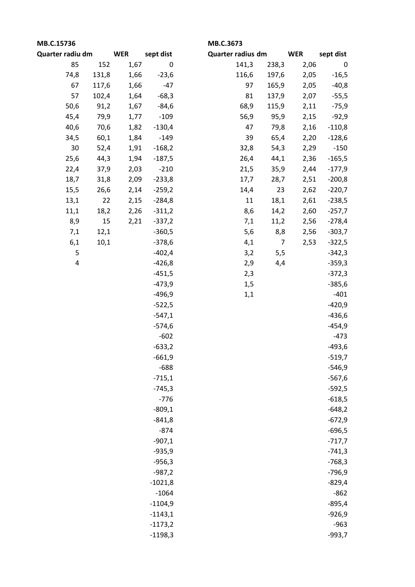| MB.C.15736       |       |            |           | MB.C.3673         |                |            |             |  |  |
|------------------|-------|------------|-----------|-------------------|----------------|------------|-------------|--|--|
| Quarter radiu dm |       | <b>WER</b> | sept dist | Quarter radius dm |                | <b>WER</b> | sept dist   |  |  |
| 85               | 152   | 1,67       | $\pmb{0}$ | 141,3             | 238,3          | 2,06       | $\mathbf 0$ |  |  |
| 74,8             | 131,8 | 1,66       | $-23,6$   | 116,6             | 197,6          | 2,05       | $-16,5$     |  |  |
| 67               | 117,6 | 1,66       | $-47$     | 97                | 165,9          | 2,05       | $-40,8$     |  |  |
| 57               | 102,4 | 1,64       | $-68,3$   | 81                | 137,9          | 2,07       | $-55,5$     |  |  |
| 50,6             | 91,2  | 1,67       | $-84,6$   | 68,9              | 115,9          | 2,11       | $-75,9$     |  |  |
| 45,4             | 79,9  | 1,77       | $-109$    | 56,9              | 95,9           | 2,15       | $-92,9$     |  |  |
| 40,6             | 70,6  | 1,82       | $-130,4$  | 47                | 79,8           | 2,16       | $-110,8$    |  |  |
| 34,5             | 60,1  | 1,84       | $-149$    | 39                | 65,4           | 2,20       | $-128,6$    |  |  |
| 30               | 52,4  | 1,91       | $-168,2$  | 32,8              | 54,3           | 2,29       | $-150$      |  |  |
| 25,6             | 44,3  | 1,94       | $-187,5$  | 26,4              | 44,1           | 2,36       | $-165,5$    |  |  |
| 22,4             | 37,9  | 2,03       | $-210$    | 21,5              | 35,9           | 2,44       | $-177,9$    |  |  |
| 18,7             | 31,8  | 2,09       | $-233,8$  | 17,7              | 28,7           | 2,51       | $-200,8$    |  |  |
| 15,5             | 26,6  | 2,14       | $-259,2$  | 14,4              | 23             | 2,62       | $-220,7$    |  |  |
| 13,1             | 22    | 2,15       | $-284,8$  | 11                | 18,1           | 2,61       | $-238,5$    |  |  |
| 11,1             | 18,2  | 2,26       | $-311,2$  | 8,6               | 14,2           | 2,60       | $-257,7$    |  |  |
| 8,9              | 15    | 2,21       | $-337,2$  | 7,1               | 11,2           | 2,56       | $-278,4$    |  |  |
| 7,1              | 12,1  |            | $-360,5$  | 5,6               | 8,8            | 2,56       | $-303,7$    |  |  |
| 6,1              | 10,1  |            | $-378,6$  | 4,1               | $\overline{7}$ | 2,53       | $-322,5$    |  |  |
| 5                |       |            | $-402,4$  | 3,2               | 5,5            |            | $-342,3$    |  |  |
| 4                |       |            | $-426,8$  | 2,9               | 4,4            |            | $-359,3$    |  |  |
|                  |       |            | $-451,5$  | 2,3               |                |            | $-372,3$    |  |  |
|                  |       |            | $-473,9$  | 1,5               |                |            | $-385,6$    |  |  |
|                  |       |            | $-496,9$  | 1,1               |                |            | $-401$      |  |  |
|                  |       |            | $-522,5$  |                   |                |            | $-420,9$    |  |  |
|                  |       |            | $-547,1$  |                   |                |            | $-436,6$    |  |  |
|                  |       |            | $-574,6$  |                   |                |            | $-454,9$    |  |  |
|                  |       |            | $-602$    |                   |                |            | $-473$      |  |  |
|                  |       |            | $-633,2$  |                   |                |            | $-493,6$    |  |  |
|                  |       |            | $-661,9$  |                   |                |            | $-519,7$    |  |  |
|                  |       |            | $-688$    |                   |                |            | $-546,9$    |  |  |
|                  |       |            | $-715,1$  |                   |                |            | $-567,6$    |  |  |
|                  |       |            | $-745,3$  |                   |                |            | $-592,5$    |  |  |
|                  |       |            | $-776$    |                   |                |            | $-618,5$    |  |  |
|                  |       |            | $-809,1$  |                   |                |            | $-648,2$    |  |  |
|                  |       |            | $-841,8$  |                   |                |            | $-672,9$    |  |  |
|                  |       |            | $-874$    |                   |                |            | $-696,5$    |  |  |
|                  |       |            | $-907,1$  |                   |                |            | $-717,7$    |  |  |
|                  |       |            | $-935,9$  |                   |                |            | $-741,3$    |  |  |
|                  |       |            | $-956,3$  |                   |                |            | $-768,3$    |  |  |
|                  |       |            | $-987,2$  |                   |                |            | $-796,9$    |  |  |
|                  |       |            | $-1021,8$ |                   |                |            | $-829,4$    |  |  |
|                  |       |            | $-1064$   |                   |                |            | $-862$      |  |  |
|                  |       |            | $-1104,9$ |                   |                |            | $-895,4$    |  |  |
|                  |       |            | $-1143,1$ |                   |                |            | $-926,9$    |  |  |
|                  |       |            | $-1173,2$ |                   |                |            | $-963$      |  |  |
|                  |       |            | $-1198,3$ |                   |                |            | $-993,7$    |  |  |